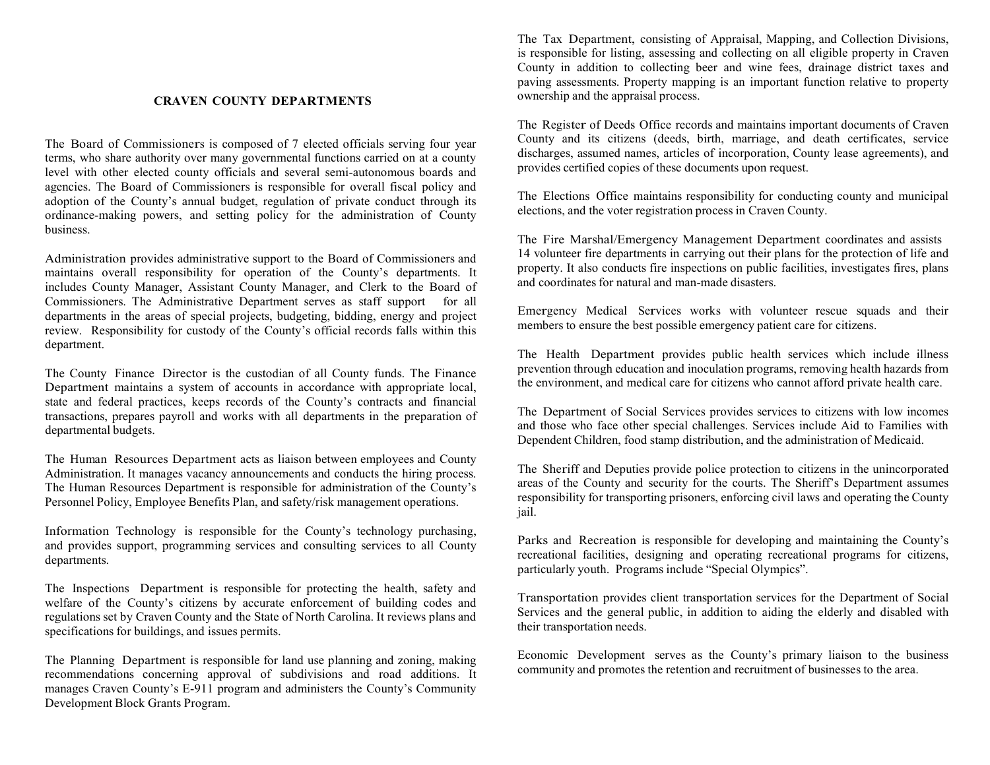#### **CRAVEN COUNTY DEPARTMENTS**

The Board of Commissioners is composed of 7 elected officials serving four year terms, who share authority over many governmental functions carried on at a county level with other elected county officials and several semi-autonomous boards and agencies. The Board of Commissioners is responsible for overall fiscal policy and adoption of the County's annual budget, regulation of private conduct through its ordinance-making powers, and setting policy for the administration of County business.

Administration provides administrative support to the Board of Commissioners and maintains overall responsibility for operation of the County's departments. It includes County Manager, Assistant County Manager, and Clerk to the Board of Commissioners. The Administrative Department serves as staff support for all departments in the areas of special projects, budgeting, bidding, energy and project review. Responsibility for custody of the County's official records falls within this department.

The County Finance Director is the custodian of all County funds. The Finance Department maintains a system of accounts in accordance with appropriate local, state and federal practices, keeps records of the County's contracts and financial transactions, prepares payroll and works with all departments in the preparation of departmental budgets.

The Human Resources Department acts as liaison between employees and County Administration. It manages vacancy announcements and conducts the hiring process. The Human Resources Department is responsible for administration of the County's Personnel Policy, Employee Benefits Plan, and safety/risk management operations.

Information Technology is responsible for the County's technology purchasing, and provides support, programming services and consulting services to all County departments.

The Inspections Department is responsible for protecting the health, safety and welfare of the County's citizens by accurate enforcement of building codes and regulations set by Craven County and the State of North Carolina. It reviews plans and specifications for buildings, and issues permits.

The Planning Department is responsible for land use planning and zoning, making recommendations concerning approval of subdivisions and road additions. It manages Craven County's E-911 program and administers the County's Community Development Block Grants Program.

The Tax Department, consisting of Appraisal, Mapping, and Collection Divisions, is responsible for listing, assessing and collecting on all eligible property in Craven County in addition to collecting beer and wine fees, drainage district taxes and paving assessments. Property mapping is an important function relative to property ownership and the appraisal process.

The Register of Deeds Office records and maintains important documents of Craven County and its citizens (deeds, birth, marriage, and death certificates, service discharges, assumed names, articles of incorporation, County lease agreements), and provides certified copies of these documents upon request.

The Elections Office maintains responsibility for conducting county and municipal elections, and the voter registration process in Craven County.

The Fire Marshal/Emergency Management Department coordinates and assists 14 volunteer fire departments in carrying out their plans for the protection of life and property. It also conducts fire inspections on public facilities, investigates fires, plans and coordinates for natural and man-made disasters.

Emergency Medical Services works with volunteer rescue squads and their members to ensure the best possible emergency patient care for citizens.

The Health Department provides public health services which include illness prevention through education and inoculation programs, removing health hazards from the environment, and medical care for citizens who cannot afford private health care.

The Department of Social Services provides services to citizens with low incomes and those who face other special challenges. Services include Aid to Families with Dependent Children, food stamp distribution, and the administration of Medicaid.

The Sheriff and Deputies provide police protection to citizens in the unincorporated areas of the County and security for the courts. The Sheriff's Department assumes responsibility for transporting prisoners, enforcing civil laws and operating the County jail.

Parks and Recreation is responsible for developing and maintaining the County's recreational facilities, designing and operating recreational programs for citizens, particularly youth. Programs include "Special Olympics".

Transportation provides client transportation services for the Department of Social Services and the general public, in addition to aiding the elderly and disabled with their transportation needs.

Economic Development serves as the County's primary liaison to the business community and promotes the retention and recruitment of businesses to the area.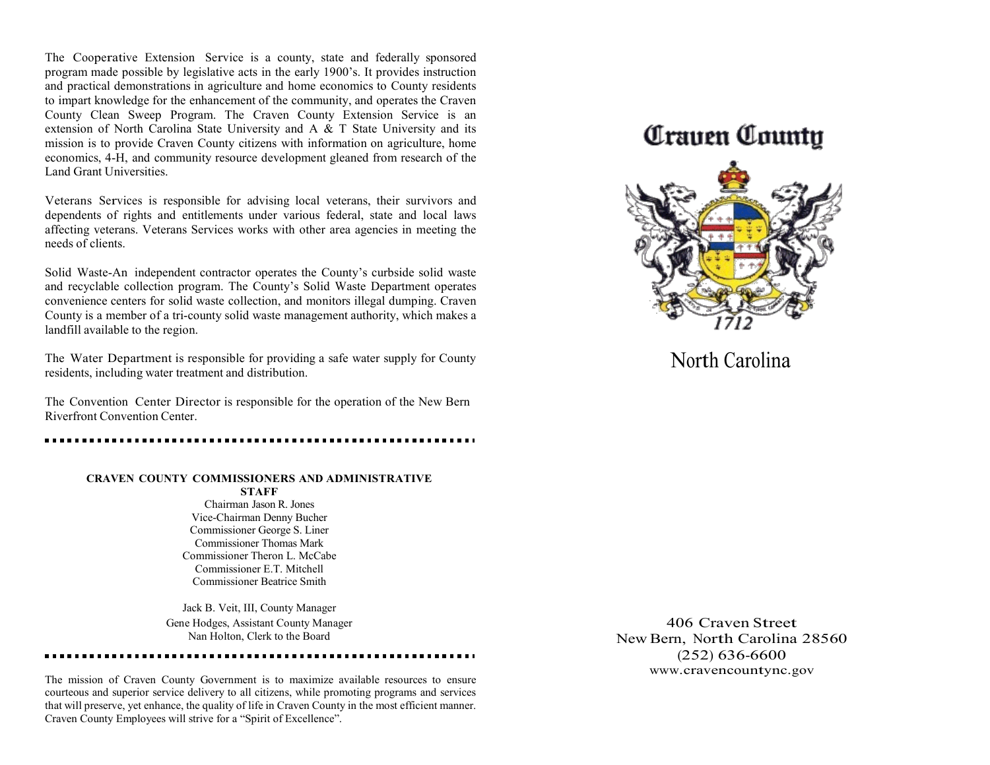The Cooperative Extension Service is a county, state and federally sponsored program made possible by legislative acts in the early 1900's. It provides instruction and practical demonstrations in agriculture and home economics to County residents to impart knowledge for the enhancement of the community, and operates the Craven County Clean Sweep Program. The Craven County Extension Service is an extension of North Carolina State University and A & T State University and its mission is to provide Craven County citizens with information on agriculture, home economics, 4-H, and community resource development gleaned from research of the Land Grant Universities.

Veterans Services is responsible for advising local veterans, their survivors and dependents of rights and entitlements under various federal, state and local laws affecting veterans. Veterans Services works with other area agencies in meeting the needs of clients.

Solid Waste-An independent contractor operates the County's curbside solid waste and recyclable collection program. The County's Solid Waste Department operates convenience centers for solid waste collection, and monitors illegal dumping. Craven County is a member of a tri-county solid waste management authority, which makes a landfill available to the region.

The Water Department is responsible for providing a safe water supply for County residents, including water treatment and distribution.

The Convention Center Director is responsible for the operation of the New Bern Riverfront Convention Center.

#### **CRAVEN COUNTY COMMISSIONERS AND ADMINISTRATIVE**

**STAFF** Chairman Jason R. Jones Vice-Chairman Denny Bucher Commissioner George S. Liner Commissioner Thomas Mark Commissioner Theron L. McCabe Commissioner E.T. Mitchell Commissioner Beatrice Smith

Jack B. Veit, III, County Manager Gene Hodges, Assistant County Manager Nan Holton, Clerk to the Board

The mission of Craven County Government is to maximize available resources to ensure courteous and superior service delivery to all citizens, while promoting programs and services that will preserve, yet enhance, the quality of life in Craven County in the most efficient manner. Craven County Employees will strive for a "Spirit of Excellence".

## *Craven County*



North Carolina

406 Craven Street New Bern, North Carolina 28560 (252) 636-6600 [www.cravencountync.gov](http://www.cravencountync.gov/)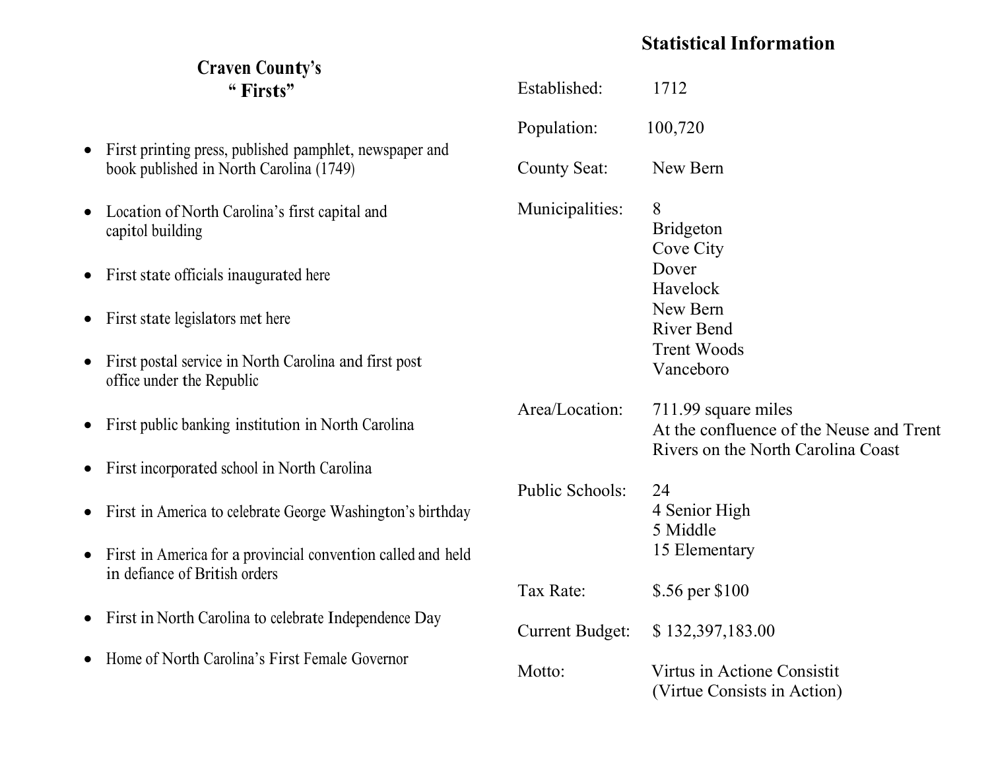## **Statistical Information**

### **Craven County's " Firsts"** • First printing press, published pamphlet, newspaper and book published in North Carolina (1749) • Location of North Carolina's first capital and capitol building • First state officials inaugurated here • First state legislators met here • First postal service in North Carolina and first post office under the Republic • First public banking institution in North Carolina • First incorporated school in North Carolina • First in America to celebrate George Washington's birthday • First in America for a provincial convention called and held in defiance of British orders • First in North Carolina to celebrate Independence Day • Home of North Carolina's First Female Governor Established: 1712 Population: 100,720 County Seat: New Bern Municipalities: 8 Bridgeton Cove City Dover Havelock New Bern River Bend Trent Woods Vanceboro Area/Location: 711.99 square miles At the confluence of the Neuse and Trent Rivers on the North Carolina Coast Public Schools: 24 4 Senior High 5 Middle 15 Elementary Tax Rate: \$.56 per \$100 Current Budget: \$ 132,397,183.00 Motto: Virtus in Actione Consistit (Virtue Consists in Action)